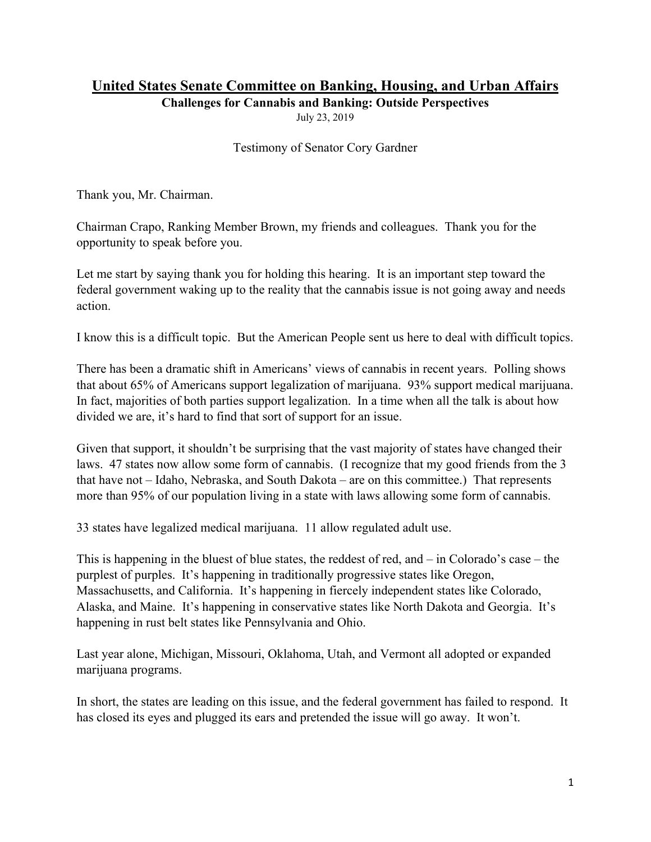## **United States Senate Committee on Banking, Housing, and Urban Affairs**

**Challenges for Cannabis and Banking: Outside Perspectives** 

July 23, 2019

Testimony of Senator Cory Gardner

Thank you, Mr. Chairman.

Chairman Crapo, Ranking Member Brown, my friends and colleagues. Thank you for the opportunity to speak before you.

Let me start by saying thank you for holding this hearing. It is an important step toward the federal government waking up to the reality that the cannabis issue is not going away and needs action.

I know this is a difficult topic. But the American People sent us here to deal with difficult topics.

There has been a dramatic shift in Americans' views of cannabis in recent years. Polling shows that about 65% of Americans support legalization of marijuana. 93% support medical marijuana. In fact, majorities of both parties support legalization. In a time when all the talk is about how divided we are, it's hard to find that sort of support for an issue.

Given that support, it shouldn't be surprising that the vast majority of states have changed their laws. 47 states now allow some form of cannabis. (I recognize that my good friends from the 3 that have not – Idaho, Nebraska, and South Dakota – are on this committee.) That represents more than 95% of our population living in a state with laws allowing some form of cannabis.

33 states have legalized medical marijuana. 11 allow regulated adult use.

This is happening in the bluest of blue states, the reddest of red, and – in Colorado's case – the purplest of purples. It's happening in traditionally progressive states like Oregon, Massachusetts, and California. It's happening in fiercely independent states like Colorado, Alaska, and Maine. It's happening in conservative states like North Dakota and Georgia. It's happening in rust belt states like Pennsylvania and Ohio.

Last year alone, Michigan, Missouri, Oklahoma, Utah, and Vermont all adopted or expanded marijuana programs.

In short, the states are leading on this issue, and the federal government has failed to respond. It has closed its eyes and plugged its ears and pretended the issue will go away. It won't.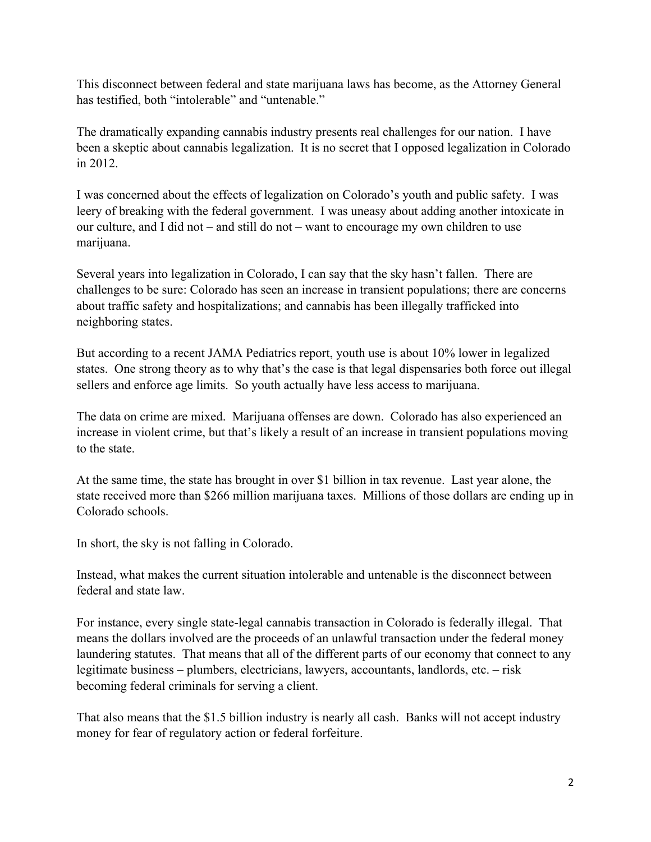This disconnect between federal and state marijuana laws has become, as the Attorney General has testified, both "intolerable" and "untenable."

The dramatically expanding cannabis industry presents real challenges for our nation. I have been a skeptic about cannabis legalization. It is no secret that I opposed legalization in Colorado in 2012.

I was concerned about the effects of legalization on Colorado's youth and public safety. I was leery of breaking with the federal government. I was uneasy about adding another intoxicate in our culture, and I did not – and still do not – want to encourage my own children to use marijuana.

Several years into legalization in Colorado, I can say that the sky hasn't fallen. There are challenges to be sure: Colorado has seen an increase in transient populations; there are concerns about traffic safety and hospitalizations; and cannabis has been illegally trafficked into neighboring states.

But according to a recent JAMA Pediatrics report, youth use is about 10% lower in legalized states. One strong theory as to why that's the case is that legal dispensaries both force out illegal sellers and enforce age limits. So youth actually have less access to marijuana.

The data on crime are mixed. Marijuana offenses are down. Colorado has also experienced an increase in violent crime, but that's likely a result of an increase in transient populations moving to the state.

At the same time, the state has brought in over \$1 billion in tax revenue. Last year alone, the state received more than \$266 million marijuana taxes. Millions of those dollars are ending up in Colorado schools.

In short, the sky is not falling in Colorado.

Instead, what makes the current situation intolerable and untenable is the disconnect between federal and state law.

For instance, every single state-legal cannabis transaction in Colorado is federally illegal. That means the dollars involved are the proceeds of an unlawful transaction under the federal money laundering statutes. That means that all of the different parts of our economy that connect to any legitimate business – plumbers, electricians, lawyers, accountants, landlords, etc. – risk becoming federal criminals for serving a client.

That also means that the \$1.5 billion industry is nearly all cash. Banks will not accept industry money for fear of regulatory action or federal forfeiture.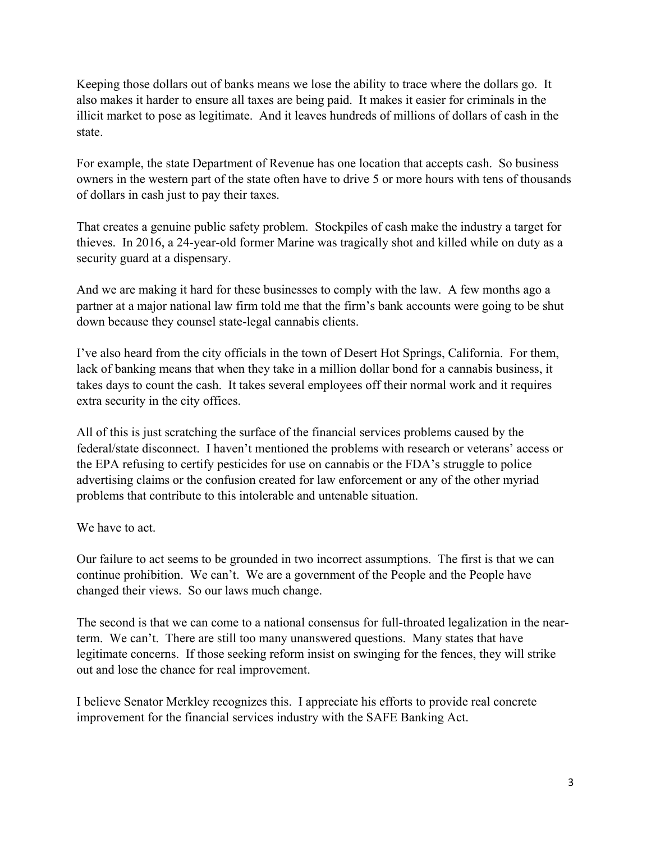Keeping those dollars out of banks means we lose the ability to trace where the dollars go. It also makes it harder to ensure all taxes are being paid. It makes it easier for criminals in the illicit market to pose as legitimate. And it leaves hundreds of millions of dollars of cash in the state.

For example, the state Department of Revenue has one location that accepts cash. So business owners in the western part of the state often have to drive 5 or more hours with tens of thousands of dollars in cash just to pay their taxes.

That creates a genuine public safety problem. Stockpiles of cash make the industry a target for thieves. In 2016, a 24-year-old former Marine was tragically shot and killed while on duty as a security guard at a dispensary.

And we are making it hard for these businesses to comply with the law. A few months ago a partner at a major national law firm told me that the firm's bank accounts were going to be shut down because they counsel state-legal cannabis clients.

I've also heard from the city officials in the town of Desert Hot Springs, California. For them, lack of banking means that when they take in a million dollar bond for a cannabis business, it takes days to count the cash. It takes several employees off their normal work and it requires extra security in the city offices.

All of this is just scratching the surface of the financial services problems caused by the federal/state disconnect. I haven't mentioned the problems with research or veterans' access or the EPA refusing to certify pesticides for use on cannabis or the FDA's struggle to police advertising claims or the confusion created for law enforcement or any of the other myriad problems that contribute to this intolerable and untenable situation.

We have to act.

Our failure to act seems to be grounded in two incorrect assumptions. The first is that we can continue prohibition. We can't. We are a government of the People and the People have changed their views. So our laws much change.

The second is that we can come to a national consensus for full-throated legalization in the nearterm. We can't. There are still too many unanswered questions. Many states that have legitimate concerns. If those seeking reform insist on swinging for the fences, they will strike out and lose the chance for real improvement.

I believe Senator Merkley recognizes this. I appreciate his efforts to provide real concrete improvement for the financial services industry with the SAFE Banking Act.